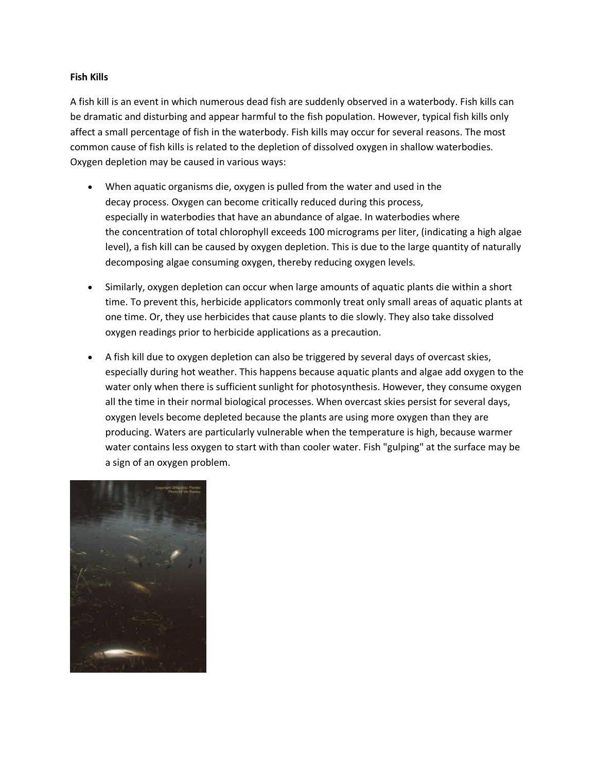## **Fish Kills**

A fish kill is an event in which numerous dead fish are suddenly observed in a waterbody. Fish kills can be dramatic and disturbing and appear harmful to the fish population. However, typical fish kills only affect a small percentage of fish in the waterbody. Fish kills may occur for several reasons. The most common cause of fish kills is related to the depletion of dissolved oxygen in shallow waterbodies. Oxygen depletion may be caused in various ways:

- When aquatic organisms die, oxygen is pulled from the water and used in the decay process. Oxygen can become critically reduced during this process, especially in waterbodies that have an abundance of algae. In waterbodies where the concentration of total chlorophyll exceeds 100 micrograms per liter, (indicating a high algae level), a fish kill can be caused by oxygen depletion. This is due to the large quantity of naturally decomposing algae consuming oxygen, thereby reducing oxygen levels.
- Similarly, oxygen depletion can occur when large amounts of aquatic plants die within a short time. To prevent this, herbicide applicators commonly treat only small areas of aquatic plants at one time. Or, they use herbicides that cause plants to die slowly. They also take dissolved oxygen readings prior to herbicide applications as a precaution.
- A fish kill due to oxygen depletion can also be triggered by several days of overcast skies, especially during hot weather. This happens because aquatic plants and algae add oxygen to the water only when there is sufficient sunlight for photosynthesis. However, they consume oxygen all the time in their normal biological processes. When overcast skies persist for several days, oxygen levels become depleted because the plants are using more oxygen than they are producing. Waters are particularly vulnerable when the temperature is high, because warmer water contains less oxygen to start with than cooler water. Fish "gulping" at the surface may be a sign of an oxygen problem.

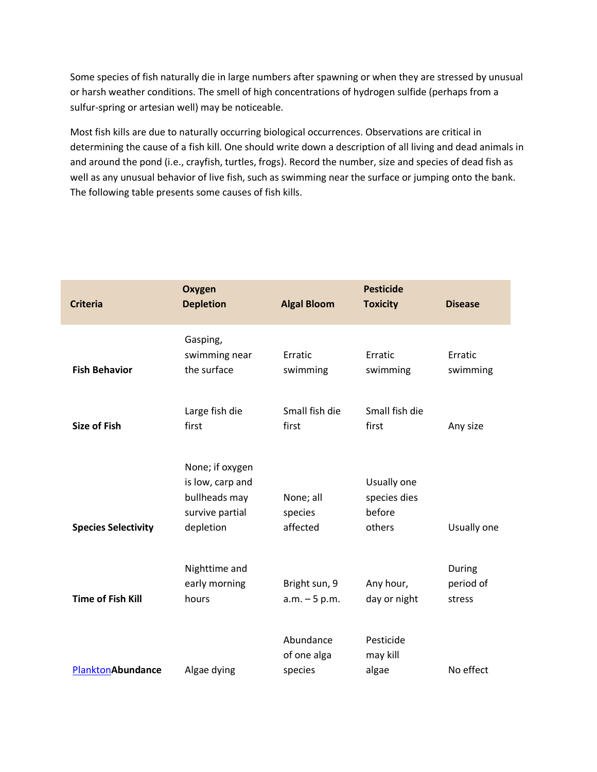Some species of fish naturally die in large numbers after spawning or when they are stressed by unusual or harsh weather conditions. The smell of high concentrations of hydrogen sulfide (perhaps from a sulfur-spring or artesian well) may be noticeable.

Most fish kills are due to naturally occurring biological occurrences. Observations are critical in determining the cause of a fish kill. One should write down a description of all living and dead animals in and around the pond (i.e., crayfish, turtles, frogs). Record the number, size and species of dead fish as well as any unusual behavior of live fish, such as swimming near the surface or jumping onto the bank. The following table presents some causes of fish kills.

| <b>Criteria</b>            | <b>Oxygen</b><br><b>Depletion</b>                                                    | <b>Algal Bloom</b>                  | <b>Pesticide</b><br><b>Toxicity</b>             | <b>Disease</b>                |
|----------------------------|--------------------------------------------------------------------------------------|-------------------------------------|-------------------------------------------------|-------------------------------|
| <b>Fish Behavior</b>       | Gasping,<br>swimming near<br>the surface                                             | Erratic<br>swimming                 | Erratic<br>swimming                             | Erratic<br>swimming           |
| <b>Size of Fish</b>        | Large fish die<br>first                                                              | Small fish die<br>first             | Small fish die<br>first                         | Any size                      |
| <b>Species Selectivity</b> | None; if oxygen<br>is low, carp and<br>bullheads may<br>survive partial<br>depletion | None; all<br>species<br>affected    | Usually one<br>species dies<br>before<br>others | Usually one                   |
| <b>Time of Fish Kill</b>   | Nighttime and<br>early morning<br>hours                                              | Bright sun, 9<br>$a.m. - 5 p.m.$    | Any hour,<br>day or night                       | During<br>period of<br>stress |
| PlanktonAbundance          | Algae dying                                                                          | Abundance<br>of one alga<br>species | Pesticide<br>may kill<br>algae                  | No effect                     |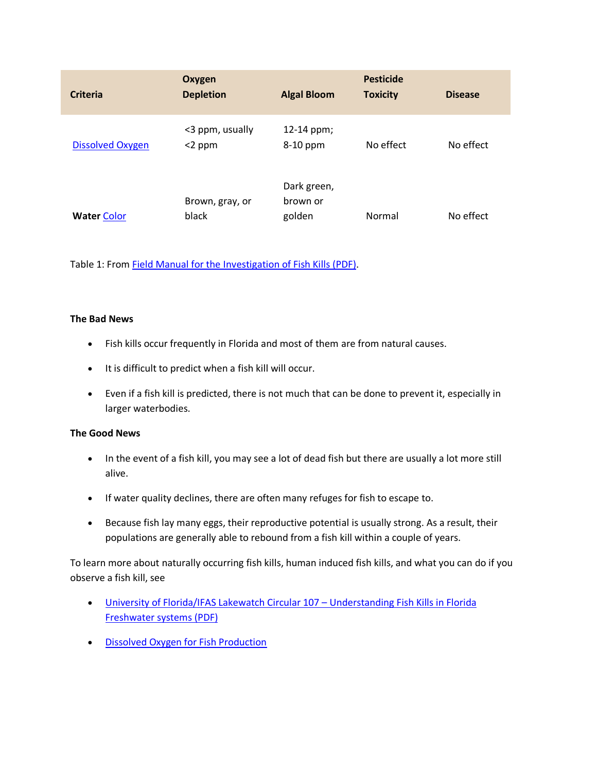| <b>Criteria</b>         | Oxygen<br><b>Depletion</b>   | <b>Algal Bloom</b>                | <b>Pesticide</b><br><b>Toxicity</b> | <b>Disease</b> |
|-------------------------|------------------------------|-----------------------------------|-------------------------------------|----------------|
| <b>Dissolved Oxygen</b> | <3 ppm, usually<br>$<$ 2 ppm | 12-14 ppm;<br>8-10 ppm            | No effect                           | No effect      |
| <b>Water Color</b>      | Brown, gray, or<br>black     | Dark green,<br>brown or<br>golden | Normal                              | No effect      |

Table 1: From [Field Manual for the Investigation of Fish Kills \(PDF\).](http://library.fws.gov/RP/177_fish_kills.pdf)

## **The Bad News**

- Fish kills occur frequently in Florida and most of them are from natural causes.
- It is difficult to predict when a fish kill will occur.
- Even if a fish kill is predicted, there is not much that can be done to prevent it, especially in larger waterbodies.

## **The Good News**

- In the event of a fish kill, you may see a lot of dead fish but there are usually a lot more still alive.
- If water quality declines, there are often many refuges for fish to escape to.
- Because fish lay many eggs, their reproductive potential is usually strong. As a result, their populations are generally able to rebound from a fish kill within a couple of years.

To learn more about naturally occurring fish kills, human induced fish kills, and what you can do if you observe a fish kill, see

- [University of Florida/IFAS Lakewatch Circular 107](http://lakewatch.ifas.ufl.edu/circpdffolder/fish_kill_LR.pdf)  Understanding Fish Kills in Florida [Freshwater systems \(PDF\)](http://lakewatch.ifas.ufl.edu/circpdffolder/fish_kill_LR.pdf)
- **•** [Dissolved Oxygen for Fish Production](http://edis.ifas.ufl.edu/fa002)